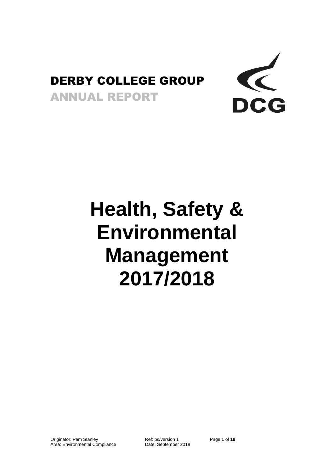## DERBY COLLEGE GROUP

ANNUAL REPORT



# **Health, Safety & Environmental Management 2017/2018**

Originator: Pam Stanley **Ref: ps/version 1** Page 1 of 19 Page 1 of 19<br>
Area: Environmental Compliance Date: September 2018 Area: Environmental Compliance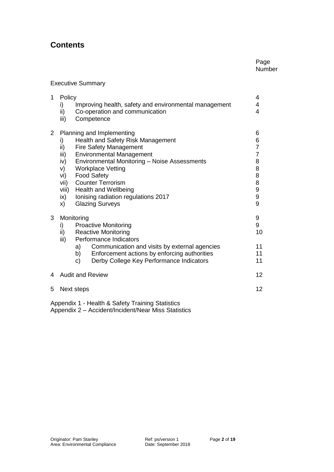### **Contents**

#### Page Number

#### Executive Summary

| 1 | Policy<br>Improving health, safety and environmental management<br>i)<br>ii)<br>Co-operation and communication<br>Competence<br>iii)                                                                                                                                                                                                                                                                                                           | 4<br>4<br>4    |  |  |  |
|---|------------------------------------------------------------------------------------------------------------------------------------------------------------------------------------------------------------------------------------------------------------------------------------------------------------------------------------------------------------------------------------------------------------------------------------------------|----------------|--|--|--|
| 2 | Planning and Implementing<br>Health and Safety Risk Management<br>i)<br>ii)<br><b>Fire Safety Management</b><br><b>Environmental Management</b><br>iii)<br><b>Environmental Monitoring - Noise Assessments</b><br>iv)<br><b>Workplace Vetting</b><br>V)<br><b>Food Safety</b><br>vi)<br><b>Counter Terrorism</b><br>vii)<br>viii)<br><b>Health and Wellbeing</b><br>Ionising radiation regulations 2017<br>ix)<br><b>Glazing Surveys</b><br>x) |                |  |  |  |
| 3 | Monitoring<br><b>Proactive Monitoring</b><br>i)<br>ii)<br><b>Reactive Monitoring</b><br>Performance Indicators<br>iii)                                                                                                                                                                                                                                                                                                                         | 9<br>9<br>10   |  |  |  |
|   | Communication and visits by external agencies<br>a) l<br>b) Enforcement actions by enforcing authorities<br>Derby College Key Performance Indicators<br>c)                                                                                                                                                                                                                                                                                     | 11<br>11<br>11 |  |  |  |
| 4 | 12<br><b>Audit and Review</b>                                                                                                                                                                                                                                                                                                                                                                                                                  |                |  |  |  |
| 5 | 12<br>Next steps                                                                                                                                                                                                                                                                                                                                                                                                                               |                |  |  |  |
|   |                                                                                                                                                                                                                                                                                                                                                                                                                                                |                |  |  |  |

Appendix 1 - Health & Safety Training Statistics Appendix 2 – Accident/Incident/Near Miss Statistics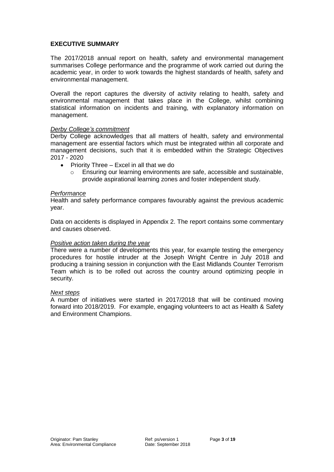#### **EXECUTIVE SUMMARY**

The 2017/2018 annual report on health, safety and environmental management summarises College performance and the programme of work carried out during the academic year, in order to work towards the highest standards of health, safety and environmental management.

Overall the report captures the diversity of activity relating to health, safety and environmental management that takes place in the College, whilst combining statistical information on incidents and training, with explanatory information on management.

#### *Derby College's commitment*

Derby College acknowledges that all matters of health, safety and environmental management are essential factors which must be integrated within all corporate and management decisions, such that it is embedded within the Strategic Objectives 2017 - 2020

- Priority Three Excel in all that we do
	- $\circ$  Ensuring our learning environments are safe, accessible and sustainable, provide aspirational learning zones and foster independent study.

#### *Performance*

Health and safety performance compares favourably against the previous academic year.

Data on accidents is displayed in Appendix 2. The report contains some commentary and causes observed.

#### *Positive action taken during the year*

There were a number of developments this year, for example testing the emergency procedures for hostile intruder at the Joseph Wright Centre in July 2018 and producing a training session in conjunction with the East Midlands Counter Terrorism Team which is to be rolled out across the country around optimizing people in security.

#### *Next steps*

A number of initiatives were started in 2017/2018 that will be continued moving forward into 2018/2019. For example, engaging volunteers to act as Health & Safety and Environment Champions.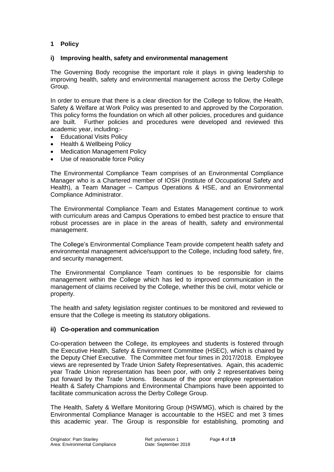#### **1 Policy**

#### **i) Improving health, safety and environmental management**

The Governing Body recognise the important role it plays in giving leadership to improving health, safety and environmental management across the Derby College Group.

In order to ensure that there is a clear direction for the College to follow, the Health, Safety & Welfare at Work Policy was presented to and approved by the Corporation. This policy forms the foundation on which all other policies, procedures and guidance are built. Further policies and procedures were developed and reviewed this academic year, including:-

- Educational Visits Policy
- Health & Wellbeing Policy
- Medication Management Policy
- Use of reasonable force Policy

The Environmental Compliance Team comprises of an Environmental Compliance Manager who is a Chartered member of IOSH (Institute of Occupational Safety and Health), a Team Manager – Campus Operations & HSE, and an Environmental Compliance Administrator.

The Environmental Compliance Team and Estates Management continue to work with curriculum areas and Campus Operations to embed best practice to ensure that robust processes are in place in the areas of health, safety and environmental management.

The College's Environmental Compliance Team provide competent health safety and environmental management advice/support to the College, including food safety, fire, and security management.

The Environmental Compliance Team continues to be responsible for claims management within the College which has led to improved communication in the management of claims received by the College, whether this be civil, motor vehicle or property.

The health and safety legislation register continues to be monitored and reviewed to ensure that the College is meeting its statutory obligations.

#### **ii) Co-operation and communication**

Co-operation between the College, its employees and students is fostered through the Executive Health, Safety & Environment Committee (HSEC), which is chaired by the Deputy Chief Executive. The Committee met four times in 2017/2018. Employee views are represented by Trade Union Safety Representatives. Again, this academic year Trade Union representation has been poor, with only 2 representatives being put forward by the Trade Unions. Because of the poor employee representation Health & Safety Champions and Environmental Champions have been appointed to facilitate communication across the Derby College Group.

The Health, Safety & Welfare Monitoring Group (HSWMG), which is chaired by the Environmental Compliance Manager is accountable to the HSEC and met 3 times this academic year. The Group is responsible for establishing, promoting and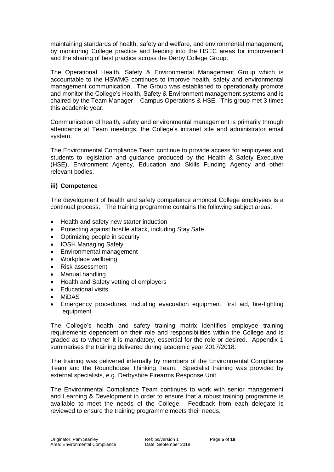maintaining standards of health, safety and welfare, and environmental management, by monitoring College practice and feeding into the HSEC areas for improvement and the sharing of best practice across the Derby College Group.

The Operational Health, Safety & Environmental Management Group which is accountable to the HSWMG continues to improve health, safety and environmental management communication. The Group was established to operationally promote and monitor the College's Health, Safety & Environment management systems and is chaired by the Team Manager – Campus Operations & HSE. This group met 3 times this academic year.

Communication of health, safety and environmental management is primarily through attendance at Team meetings, the College's intranet site and administrator email system.

The Environmental Compliance Team continue to provide access for employees and students to legislation and guidance produced by the Health & Safety Executive (HSE), Environment Agency, Education and Skills Funding Agency and other relevant bodies.

#### **iii) Competence**

The development of health and safety competence amongst College employees is a continual process. The training programme contains the following subject areas;

- Health and safety new starter induction
- Protecting against hostile attack, including Stay Safe
- Optimizing people in security
- IOSH Managing Safely
- Environmental management
- Workplace wellbeing
- Risk assessment
- Manual handling
- Health and Safety vetting of employers
- Educational visits
- MiDAS
- Emergency procedures, including evacuation equipment, first aid, fire-fighting equipment

The College's health and safety training matrix identifies employee training requirements dependent on their role and responsibilities within the College and is graded as to whether it is mandatory, essential for the role or desired. Appendix 1 summarises the training delivered during academic year 2017/2018.

The training was delivered internally by members of the Environmental Compliance Team and the Roundhouse Thinking Team. Specialist training was provided by external specialists, e.g. Derbyshire Firearms Response Unit.

The Environmental Compliance Team continues to work with senior management and Learning & Development in order to ensure that a robust training programme is available to meet the needs of the College. Feedback from each delegate is reviewed to ensure the training programme meets their needs.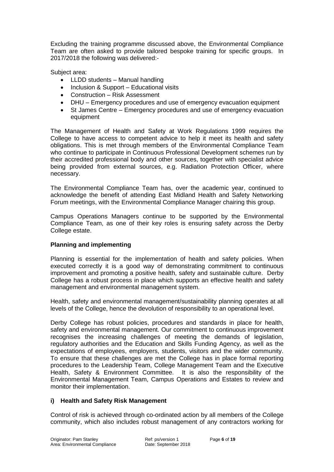Excluding the training programme discussed above, the Environmental Compliance Team are often asked to provide tailored bespoke training for specific groups. In 2017/2018 the following was delivered:-

Subject area:

- LLDD students Manual handling
- Inclusion & Support Educational visits
- Construction Risk Assessment
- DHU Emergency procedures and use of emergency evacuation equipment
- St James Centre Emergency procedures and use of emergency evacuation equipment

The Management of Health and Safety at Work Regulations 1999 requires the College to have access to competent advice to help it meet its health and safety obligations. This is met through members of the Environmental Compliance Team who continue to participate in Continuous Professional Development schemes run by their accredited professional body and other sources, together with specialist advice being provided from external sources, e.g. Radiation Protection Officer, where necessary.

The Environmental Compliance Team has, over the academic year, continued to acknowledge the benefit of attending East Midland Health and Safety Networking Forum meetings, with the Environmental Compliance Manager chairing this group.

Campus Operations Managers continue to be supported by the Environmental Compliance Team, as one of their key roles is ensuring safety across the Derby College estate.

#### **Planning and implementing**

Planning is essential for the implementation of health and safety policies. When executed correctly it is a good way of demonstrating commitment to continuous improvement and promoting a positive health, safety and sustainable culture. Derby College has a robust process in place which supports an effective health and safety management and environmental management system.

Health, safety and environmental management/sustainability planning operates at all levels of the College, hence the devolution of responsibility to an operational level.

Derby College has robust policies, procedures and standards in place for health, safety and environmental management. Our commitment to continuous improvement recognises the increasing challenges of meeting the demands of legislation, regulatory authorities and the Education and Skills Funding Agency, as well as the expectations of employees, employers, students, visitors and the wider community. To ensure that these challenges are met the College has in place formal reporting procedures to the Leadership Team, College Management Team and the Executive Health, Safety & Environment Committee. It is also the responsibility of the Environmental Management Team, Campus Operations and Estates to review and monitor their implementation.

#### **i) Health and Safety Risk Management**

Control of risk is achieved through co-ordinated action by all members of the College community, which also includes robust management of any contractors working for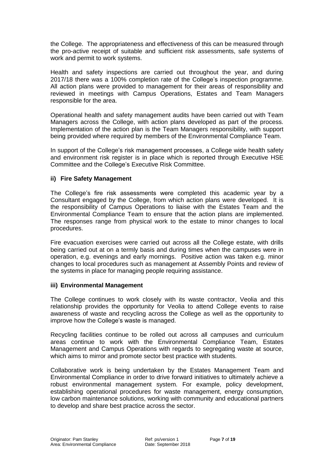the College. The appropriateness and effectiveness of this can be measured through the pro-active receipt of suitable and sufficient risk assessments, safe systems of work and permit to work systems.

Health and safety inspections are carried out throughout the year, and during 2017/18 there was a 100% completion rate of the College's inspection programme. All action plans were provided to management for their areas of responsibility and reviewed in meetings with Campus Operations, Estates and Team Managers responsible for the area.

Operational health and safety management audits have been carried out with Team Managers across the College, with action plans developed as part of the process. Implementation of the action plan is the Team Managers responsibility, with support being provided where required by members of the Environmental Compliance Team.

In support of the College's risk management processes, a College wide health safety and environment risk register is in place which is reported through Executive HSE Committee and the College's Executive Risk Committee.

#### **ii) Fire Safety Management**

The College's fire risk assessments were completed this academic year by a Consultant engaged by the College, from which action plans were developed. It is the responsibility of Campus Operations to liaise with the Estates Team and the Environmental Compliance Team to ensure that the action plans are implemented. The responses range from physical work to the estate to minor changes to local procedures.

Fire evacuation exercises were carried out across all the College estate, with drills being carried out at on a termly basis and during times when the campuses were in operation, e.g. evenings and early mornings. Positive action was taken e.g. minor changes to local procedures such as management at Assembly Points and review of the systems in place for managing people requiring assistance.

#### **iii) Environmental Management**

The College continues to work closely with its waste contractor, Veolia and this relationship provides the opportunity for Veolia to attend College events to raise awareness of waste and recycling across the College as well as the opportunity to improve how the College's waste is managed.

Recycling facilities continue to be rolled out across all campuses and curriculum areas continue to work with the Environmental Compliance Team, Estates Management and Campus Operations with regards to segregating waste at source, which aims to mirror and promote sector best practice with students.

Collaborative work is being undertaken by the Estates Management Team and Environmental Compliance in order to drive forward initiatives to ultimately achieve a robust environmental management system. For example, policy development, establishing operational procedures for waste management, energy consumption, low carbon maintenance solutions, working with community and educational partners to develop and share best practice across the sector.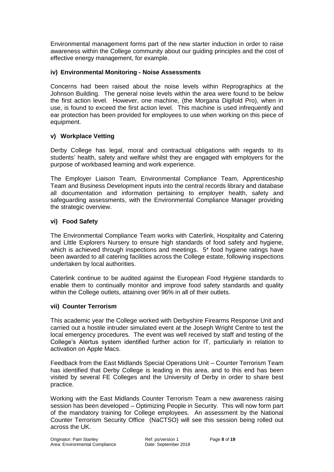Environmental management forms part of the new starter induction in order to raise awareness within the College community about our guiding principles and the cost of effective energy management, for example.

#### **iv) Environmental Monitoring - Noise Assessments**

Concerns had been raised about the noise levels within Reprographics at the Johnson Building. The general noise levels within the area were found to be below the first action level. However, one machine, (the Morgana Digifold Pro), when in use, is found to exceed the first action level. This machine is used infrequently and ear protection has been provided for employees to use when working on this piece of equipment.

#### **v) Workplace Vetting**

Derby College has legal, moral and contractual obligations with regards to its students' health, safety and welfare whilst they are engaged with employers for the purpose of workbased learning and work experience.

The Employer Liaison Team, Environmental Compliance Team, Apprenticeship Team and Business Development inputs into the central records library and database all documentation and information pertaining to employer health, safety and safeguarding assessments, with the Environmental Compliance Manager providing the strategic overview.

#### **vi) Food Safety**

The Environmental Compliance Team works with Caterlink, Hospitality and Catering and Little Explorers Nursery to ensure high standards of food safety and hygiene, which is achieved through inspections and meetings. 5<sup>\*</sup> food hygiene ratings have been awarded to all catering facilities across the College estate, following inspections undertaken by local authorities.

Caterlink continue to be audited against the European Food Hygiene standards to enable them to continually monitor and improve food safety standards and quality within the College outlets, attaining over 96% in all of their outlets.

#### **vii) Counter Terrorism**

This academic year the College worked with Derbyshire Firearms Response Unit and carried out a hostile intruder simulated event at the Joseph Wright Centre to test the local emergency procedures. The event was well received by staff and testing of the College's Alertus system identified further action for IT, particularly in relation to activation on Apple Macs.

Feedback from the East Midlands Special Operations Unit – Counter Terrorism Team has identified that Derby College is leading in this area, and to this end has been visited by several FE Colleges and the University of Derby in order to share best practice.

Working with the East Midlands Counter Terrorism Team a new awareness raising session has been developed – Optimizing People in Security. This will now form part of the mandatory training for College employees. An assessment by the National Counter Terrorism Security Office (NaCTSO) will see this session being rolled out across the UK.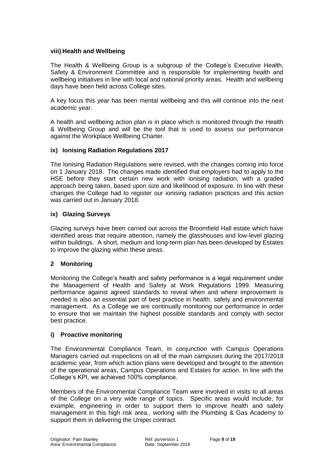#### **viii) Health and Wellbeing**

The Health & Wellbeing Group is a subgroup of the College's Executive Health, Safety & Environment Committee and is responsible for implementing health and wellbeing initiatives in line with local and national priority areas. Health and wellbeing days have been held across College sites.

A key focus this year has been mental wellbeing and this will continue into the next academic year.

A health and wellbeing action plan is in place which is monitored through the Health & Wellbeing Group and will be the tool that is used to assess our performance against the Workplace Wellbeing Charter.

#### **ix) Ionising Radiation Regulations 2017**

The Ionising Radiation Regulations were revised, with the changes coming into force on 1 January 2018. The changes made identified that employers had to apply to the HSE before they start certain new work with ionising radiation, with a graded approach being taken, based upon size and likelihood of exposure. In line with these changes the College had to register our ionising radiation practices and this action was carried out in January 2018.

#### **ix) Glazing Surveys**

Glazing surveys have been carried out across the Broomfield Hall estate which have identified areas that require attention, namely the glasshouses and low-level glazing within buildings. A short, medium and long-term plan has been developed by Estates to improve the glazing within these areas.

#### **2 Monitoring**

Monitoring the College's health and safety performance is a legal requirement under the Management of Health and Safety at Work Regulations 1999. Measuring performance against agreed standards to reveal when and where improvement is needed is also an essential part of best practice in health, safety and environmental management. As a College we are continually monitoring our performance in order to ensure that we maintain the highest possible standards and comply with sector best practice.

#### **i) Proactive monitoring**

The Environmental Compliance Team, in conjunction with Campus Operations Managers carried out inspections on all of the main campuses during the 2017/2018 academic year, from which action plans were developed and brought to the attention of the operational areas, Campus Operations and Estates for action. In line with the College's KPI, we achieved 100% compliance.

Members of the Environmental Compliance Team were involved in visits to all areas of the College on a very wide range of topics. Specific areas would include, for example, engineering in order to support them to improve health and safety management in this high risk area., working with the Plumbing & Gas Academy to support them in delivering the Uniper contract.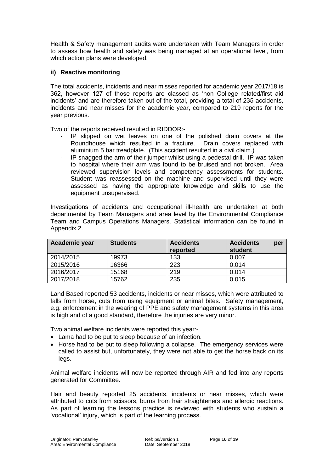Health & Safety management audits were undertaken with Team Managers in order to assess how health and safety was being managed at an operational level, from which action plans were developed.

#### **ii) Reactive monitoring**

The total accidents, incidents and near misses reported for academic year 2017/18 is 362, however 127 of those reports are classed as 'non College related/first aid incidents' and are therefore taken out of the total, providing a total of 235 accidents, incidents and near misses for the academic year, compared to 219 reports for the year previous.

Two of the reports received resulted in RIDDOR:-

- IP slipped on wet leaves on one of the polished drain covers at the Roundhouse which resulted in a fracture. Drain covers replaced with aluminium 5 bar treadplate. (This accident resulted in a civil claim.)
- IP snagged the arm of their jumper whilst using a pedestal drill. IP was taken to hospital where their arm was found to be bruised and not broken. Area reviewed supervision levels and competency assessments for students. Student was reassessed on the machine and supervised until they were assessed as having the appropriate knowledge and skills to use the equipment unsupervised.

Investigations of accidents and occupational ill-health are undertaken at both departmental by Team Managers and area level by the Environmental Compliance Team and Campus Operations Managers. Statistical information can be found in Appendix 2.

| Academic year | <b>Students</b> | <b>Accidents</b><br>reported | <b>Accidents</b><br>per<br>student |
|---------------|-----------------|------------------------------|------------------------------------|
| 2014/2015     | 19973           | 133                          | 0.007                              |
| 2015/2016     | 16366           | 223                          | 0.014                              |
| 2016/2017     | 15168           | 219                          | 0.014                              |
| 2017/2018     | 15762           | 235                          | 0.015                              |

Land Based reported 53 accidents, incidents or near misses, which were attributed to falls from horse, cuts from using equipment or animal bites. Safety management, e.g. enforcement in the wearing of PPE and safety management systems in this area is high and of a good standard, therefore the injuries are very minor.

Two animal welfare incidents were reported this year:-

- Lama had to be put to sleep because of an infection.
- Horse had to be put to sleep following a collapse. The emergency services were called to assist but, unfortunately, they were not able to get the horse back on its legs.

Animal welfare incidents will now be reported through AIR and fed into any reports generated for Committee.

Hair and beauty reported 25 accidents, incidents or near misses, which were attributed to cuts from scissors, burns from hair straighteners and allergic reactions. As part of learning the lessons practice is reviewed with students who sustain a 'vocational' injury, which is part of the learning process.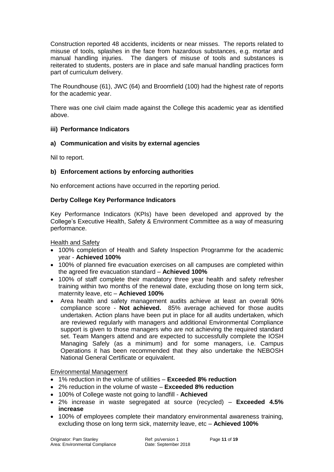Construction reported 48 accidents, incidents or near misses. The reports related to misuse of tools, splashes in the face from hazardous substances, e.g. mortar and manual handling injuries. The dangers of misuse of tools and substances is reiterated to students, posters are in place and safe manual handling practices form part of curriculum delivery.

The Roundhouse (61), JWC (64) and Broomfield (100) had the highest rate of reports for the academic year.

There was one civil claim made against the College this academic year as identified above.

#### **iii) Performance Indicators**

#### **a) Communication and visits by external agencies**

Nil to report.

#### **b) Enforcement actions by enforcing authorities**

No enforcement actions have occurred in the reporting period.

#### **Derby College Key Performance Indicators**

Key Performance Indicators (KPIs) have been developed and approved by the College's Executive Health, Safety & Environment Committee as a way of measuring performance.

#### Health and Safety

- 100% completion of Health and Safety Inspection Programme for the academic year - **Achieved 100%**
- 100% of planned fire evacuation exercises on all campuses are completed within the agreed fire evacuation standard – **Achieved 100%**
- 100% of staff complete their mandatory three year health and safety refresher training within two months of the renewal date, excluding those on long term sick, maternity leave, etc – **Achieved 100%**
- Area health and safety management audits achieve at least an overall 90% compliance score - **Not achieved.** 85% average achieved for those audits undertaken. Action plans have been put in place for all audits undertaken, which are reviewed regularly with managers and additional Environmental Compliance support is given to those managers who are not achieving the required standard set. Team Mangers attend and are expected to successfully complete the IOSH Managing Safely (as a minimum) and for some managers, i.e. Campus Operations it has been recommended that they also undertake the NEBOSH National General Certificate or equivalent.

#### Environmental Management

- 1% reduction in the volume of utilities **Exceeded 8% reduction**
- 2% reduction in the volume of waste **Exceeded 8% reduction**
- 100% of College waste not going to landfill **Achieved**
- 2% increase in waste segregated at source (recycled) **Exceeded 4.5% increase**
- 100% of employees complete their mandatory environmental awareness training, excluding those on long term sick, maternity leave, etc – **Achieved 100%**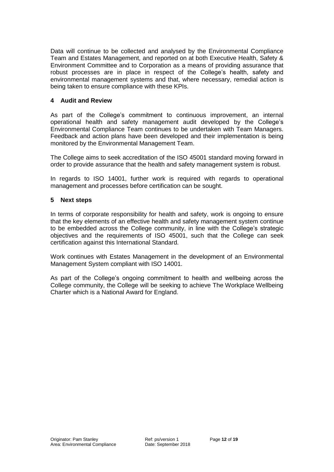Data will continue to be collected and analysed by the Environmental Compliance Team and Estates Management, and reported on at both Executive Health, Safety & Environment Committee and to Corporation as a means of providing assurance that robust processes are in place in respect of the College's health, safety and environmental management systems and that, where necessary, remedial action is being taken to ensure compliance with these KPIs.

#### **4 Audit and Review**

As part of the College's commitment to continuous improvement, an internal operational health and safety management audit developed by the College's Environmental Compliance Team continues to be undertaken with Team Managers. Feedback and action plans have been developed and their implementation is being monitored by the Environmental Management Team.

The College aims to seek accreditation of the ISO 45001 standard moving forward in order to provide assurance that the health and safety management system is robust.

In regards to ISO 14001, further work is required with regards to operational management and processes before certification can be sought.

#### **5 Next steps**

In terms of corporate responsibility for health and safety, work is ongoing to ensure that the key elements of an effective health and safety management system continue to be embedded across the College community, in line with the College's strategic objectives and the requirements of ISO 45001, such that the College can seek certification against this International Standard.

Work continues with Estates Management in the development of an Environmental Management System compliant with ISO 14001.

As part of the College's ongoing commitment to health and wellbeing across the College community, the College will be seeking to achieve The Workplace Wellbeing Charter which is a National Award for England.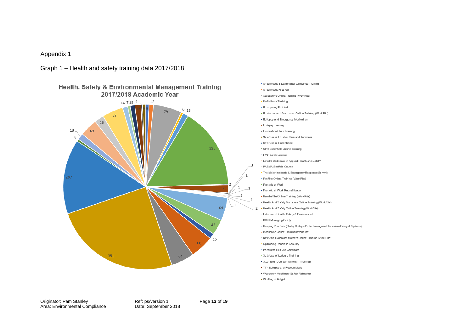#### Appendix 1

#### Graph 1 – Health and safety training data 2017/2018



. Anaphylaxis & Defibrillator Combined Training · Anaphylaxis First Aid · AssessRite Online Training (WorkRite) - Defibrillator Training · Emergency First Aid · Environmental Awareness Online Training (WorkRite) · Epilepsy and Emergency Medication · Epilepsy Training · Evacuation Chair Training . Safe Use of Brush-cutters and Trimmers · Safe Use of Rodenticide • CPR Essentials Online Training · IPAF 3a 3b Licence . Level 6 Certificate in Applied Health and SafetY - PASMA Scaffold Course . The Major Incidents & Emergency Response Summit . FireRite Online Training (WorkRite) · First Aid at Work - First Aid at Work Requalification · HandleRite Online Training (WorkRite) . Health And Safety Managers Online Training (WorkRite) . Health And Safety Online Training (WorkRite) - Induction - Health, Safety & Environment . IOSH Managing Safely . Keeping You Safe (Derby College Protection against Terrorism Policy & Systems) . MobileRite Online Training (WorkRite) · New And Expectant Mothers Online Training (WorkRite) . Optimising People in Security · Paediatric First Aid Certificate - Safe Use of Ladders Training · Stay Safe (Counter-Terrorism Training) . TT - Epilepsy and Rescue Meds . Woodwork Machinery Safety Refresher . Working at Height

Originator: Pam Stanley **Ref: ps/version 1** Page **13** of **19**<br>
Area: Environmental Compliance Date: September 2018 Area: Environmental Compliance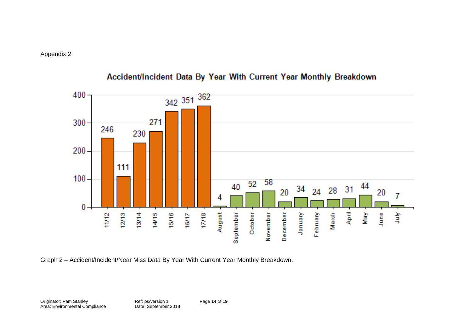

## Accident/Incident Data By Year With Current Year Monthly Breakdown

Graph 2 – Accident/Incident/Near Miss Data By Year With Current Year Monthly Breakdown.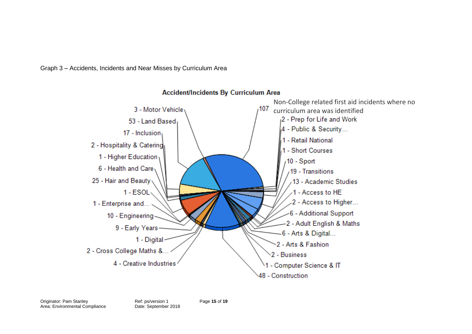Graph 3 – Accidents, Incidents and Near Misses by Curriculum Area



#### **Accident/Incidents By Curriculum Area**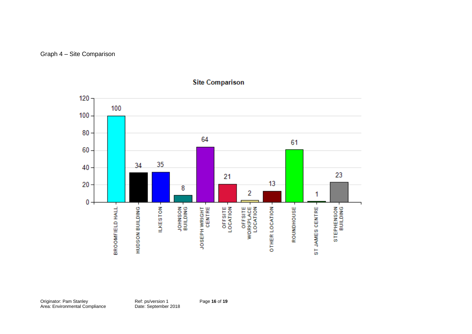Graph 4 – Site Comparison



#### **Site Comparison**

Originator: Pam Stanley Ref: ps/version 1 Page **16** of **19** Area: Environmental Compliance **Date: September 2018**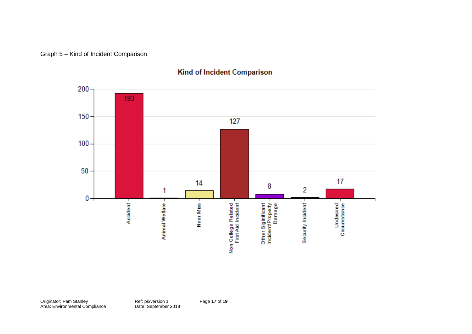Graph 5 – Kind of Incident Comparison



## Kind of Incident Comparison

Originator: Pam Stanley Ref: ps/version 1 Page **17** of **19** Area: Environmental Compliance **Date: September 2018**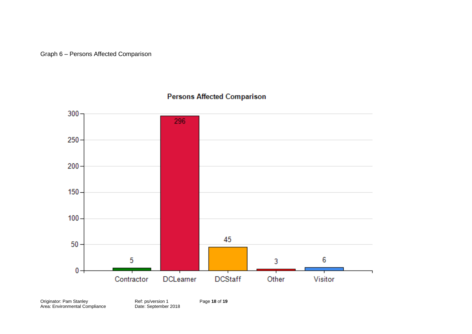#### Graph 6 – Persons Affected Comparison



## **Persons Affected Comparison**

Originator: Pam Stanley Ref: ps/version 1 Page **18** of **19** Area: Environmental Compliance **Date: September 2018**